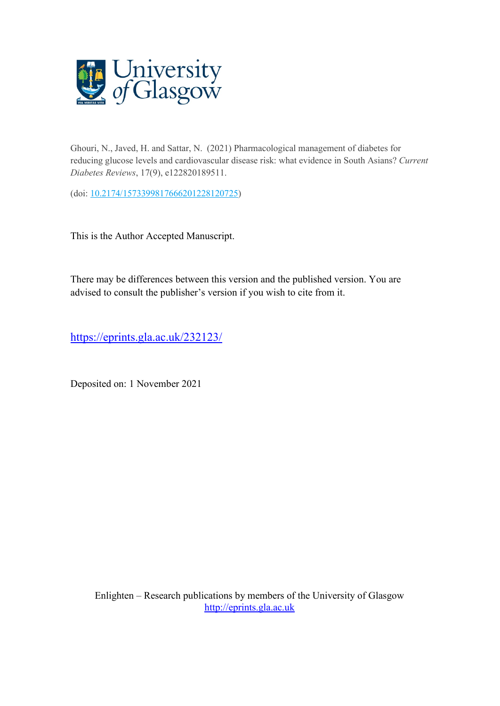

Ghouri, N., Javed, H. and Sattar, N. (2021) Pharmacological management of diabetes for reducing glucose levels and cardiovascular disease risk: what evidence in South Asians? *Current Diabetes Reviews*, 17(9), e122820189511.

(doi: [10.2174/1573399817666201228120725\)](http://dx.doi.org/10.2174/1573399817666201228120725)

This is the Author Accepted Manuscript.

There may be differences between this version and the published version. You are advised to consult the publisher's version if you wish to cite from it.

<https://eprints.gla.ac.uk/232123/>

Deposited on: 1 November 2021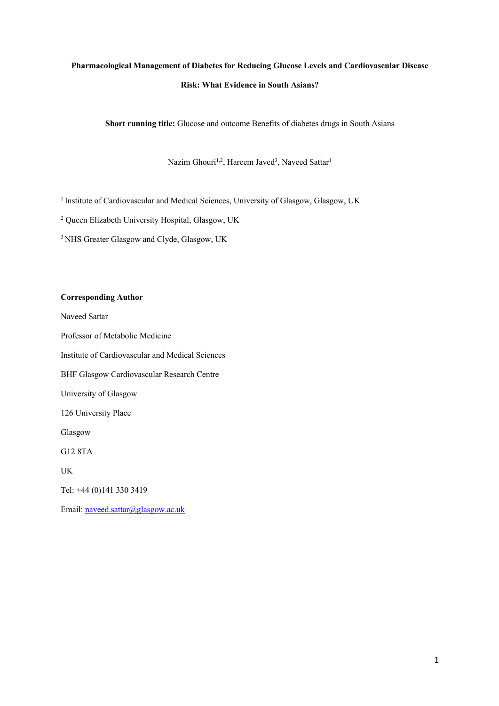# **Pharmacological Management of Diabetes for Reducing Glucose Levels and Cardiovascular Disease Risk: What Evidence in South Asians?**

**Short running title:** Glucose and outcome Benefits of diabetes drugs in South Asians

Nazim Ghouri<sup>1,2</sup>, Hareem Javed<sup>3</sup>, Naveed Sattar<sup>1</sup>

<sup>1</sup> Institute of Cardiovascular and Medical Sciences, University of Glasgow, Glasgow, UK

<sup>2</sup> Queen Elizabeth University Hospital, Glasgow, UK

<sup>3</sup> NHS Greater Glasgow and Clyde, Glasgow, UK

# **Corresponding Author**

Naveed Sattar

Professor of Metabolic Medicine

Institute of Cardiovascular and Medical Sciences

BHF Glasgow Cardiovascular Research Centre

University of Glasgow

126 University Place

Glasgow

G12 8TA

UK

Tel: +44 (0)141 330 3419

Email: naveed.sattar@glasgow.ac.uk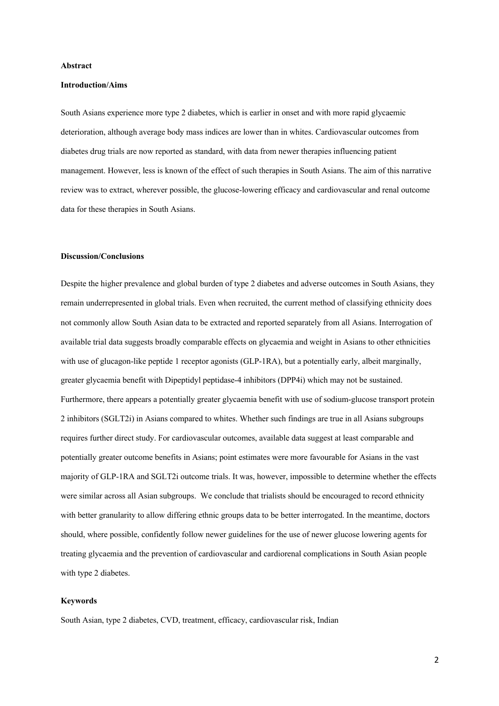#### **Abstract**

#### **Introduction/Aims**

South Asians experience more type 2 diabetes, which is earlier in onset and with more rapid glycaemic deterioration, although average body mass indices are lower than in whites. Cardiovascular outcomes from diabetes drug trials are now reported as standard, with data from newer therapies influencing patient management. However, less is known of the effect of such therapies in South Asians. The aim of this narrative review was to extract, wherever possible, the glucose-lowering efficacy and cardiovascular and renal outcome data for these therapies in South Asians.

#### **Discussion/Conclusions**

Despite the higher prevalence and global burden of type 2 diabetes and adverse outcomes in South Asians, they remain underrepresented in global trials. Even when recruited, the current method of classifying ethnicity does not commonly allow South Asian data to be extracted and reported separately from all Asians. Interrogation of available trial data suggests broadly comparable effects on glycaemia and weight in Asians to other ethnicities with use of glucagon-like peptide 1 receptor agonists (GLP-1RA), but a potentially early, albeit marginally, greater glycaemia benefit with Dipeptidyl peptidase-4 inhibitors (DPP4i) which may not be sustained. Furthermore, there appears a potentially greater glycaemia benefit with use of sodium-glucose transport protein 2 inhibitors (SGLT2i) in Asians compared to whites. Whether such findings are true in all Asians subgroups requires further direct study. For cardiovascular outcomes, available data suggest at least comparable and potentially greater outcome benefits in Asians; point estimates were more favourable for Asians in the vast majority of GLP-1RA and SGLT2i outcome trials. It was, however, impossible to determine whether the effects were similar across all Asian subgroups. We conclude that trialists should be encouraged to record ethnicity with better granularity to allow differing ethnic groups data to be better interrogated. In the meantime, doctors should, where possible, confidently follow newer guidelines for the use of newer glucose lowering agents for treating glycaemia and the prevention of cardiovascular and cardiorenal complications in South Asian people with type 2 diabetes.

# **Keywords**

South Asian, type 2 diabetes, CVD, treatment, efficacy, cardiovascular risk, Indian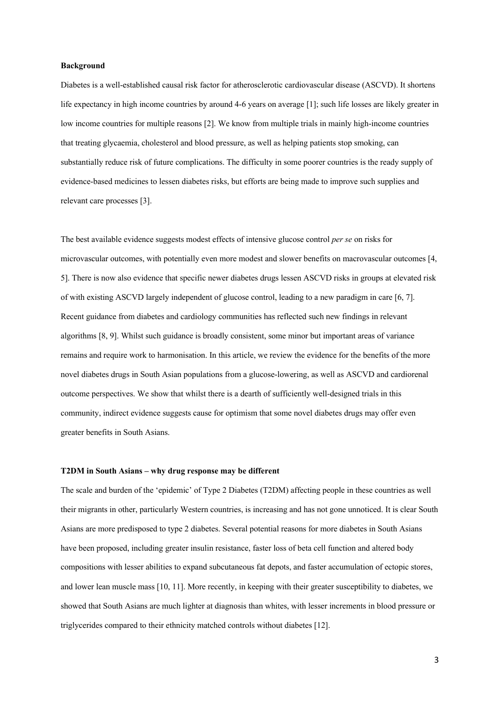#### **Background**

Diabetes is a well-established causal risk factor for atherosclerotic cardiovascular disease (ASCVD). It shortens life expectancy in high income countries by around 4-6 years on average [1]; such life losses are likely greater in low income countries for multiple reasons [2]. We know from multiple trials in mainly high-income countries that treating glycaemia, cholesterol and blood pressure, as well as helping patients stop smoking, can substantially reduce risk of future complications. The difficulty in some poorer countries is the ready supply of evidence-based medicines to lessen diabetes risks, but efforts are being made to improve such supplies and relevant care processes [3].

The best available evidence suggests modest effects of intensive glucose control *per se* on risks for microvascular outcomes, with potentially even more modest and slower benefits on macrovascular outcomes [4, 5]. There is now also evidence that specific newer diabetes drugs lessen ASCVD risks in groups at elevated risk of with existing ASCVD largely independent of glucose control, leading to a new paradigm in care [6, 7]. Recent guidance from diabetes and cardiology communities has reflected such new findings in relevant algorithms [8, 9]. Whilst such guidance is broadly consistent, some minor but important areas of variance remains and require work to harmonisation. In this article, we review the evidence for the benefits of the more novel diabetes drugs in South Asian populations from a glucose-lowering, as well as ASCVD and cardiorenal outcome perspectives. We show that whilst there is a dearth of sufficiently well-designed trials in this community, indirect evidence suggests cause for optimism that some novel diabetes drugs may offer even greater benefits in South Asians.

#### **T2DM in South Asians – why drug response may be different**

The scale and burden of the 'epidemic' of Type 2 Diabetes (T2DM) affecting people in these countries as well their migrants in other, particularly Western countries, is increasing and has not gone unnoticed. It is clear South Asians are more predisposed to type 2 diabetes. Several potential reasons for more diabetes in South Asians have been proposed, including greater insulin resistance, faster loss of beta cell function and altered body compositions with lesser abilities to expand subcutaneous fat depots, and faster accumulation of ectopic stores, and lower lean muscle mass [10, 11]. More recently, in keeping with their greater susceptibility to diabetes, we showed that South Asians are much lighter at diagnosis than whites, with lesser increments in blood pressure or triglycerides compared to their ethnicity matched controls without diabetes [12].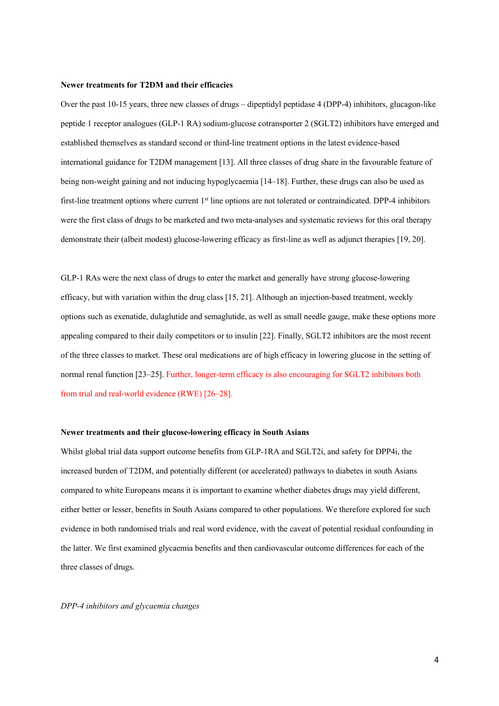### **Newer treatments for T2DM and their efficacies**

Over the past 10-15 years, three new classes of drugs – dipeptidyl peptidase 4 (DPP-4) inhibitors, glucagon-like peptide 1 receptor analogues (GLP-1 RA) sodium-glucose cotransporter 2 (SGLT2) inhibitors have emerged and established themselves as standard second or third-line treatment options in the latest evidence-based international guidance for T2DM management [13]. All three classes of drug share in the favourable feature of being non-weight gaining and not inducing hypoglycaemia [14–18]. Further, these drugs can also be used as first-line treatment options where current 1<sup>st</sup> line options are not tolerated or contraindicated. DPP-4 inhibitors were the first class of drugs to be marketed and two meta-analyses and systematic reviews for this oral therapy demonstrate their (albeit modest) glucose-lowering efficacy as first-line as well as adjunct therapies [19, 20].

GLP-1 RAs were the next class of drugs to enter the market and generally have strong glucose-lowering efficacy, but with variation within the drug class [15, 21]. Although an injection-based treatment, weekly options such as exenatide, dulaglutide and semaglutide, as well as small needle gauge, make these options more appealing compared to their daily competitors or to insulin [22]. Finally, SGLT2 inhibitors are the most recent of the three classes to market. These oral medications are of high efficacy in lowering glucose in the setting of normal renal function [23–25]. Further, longer-term efficacy is also encouraging for SGLT2 inhibitors both from trial and real-world evidence (RWE) [26–28].

#### **Newer treatments and their glucose-lowering efficacy in South Asians**

Whilst global trial data support outcome benefits from GLP-1RA and SGLT2i, and safety for DPP4i, the increased burden of T2DM, and potentially different (or accelerated) pathways to diabetes in south Asians compared to white Europeans means it is important to examine whether diabetes drugs may yield different, either better or lesser, benefits in South Asians compared to other populations. We therefore explored for such evidence in both randomised trials and real word evidence, with the caveat of potential residual confounding in the latter. We first examined glycaemia benefits and then cardiovascular outcome differences for each of the three classes of drugs.

*DPP-4 inhibitors and glycaemia changes*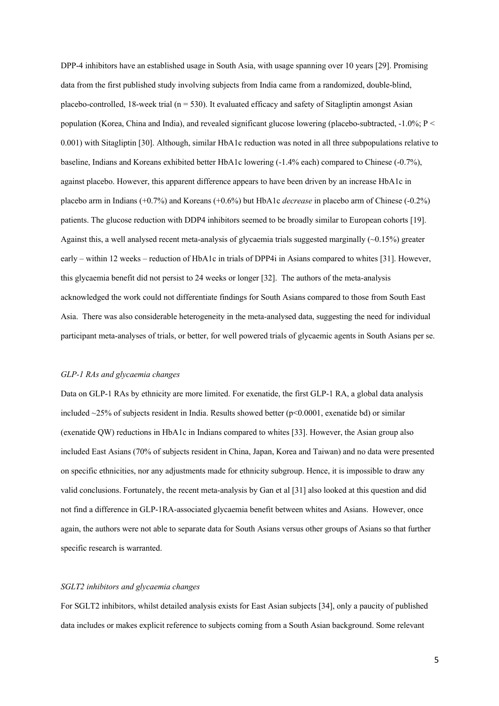DPP-4 inhibitors have an established usage in South Asia, with usage spanning over 10 years [29]. Promising data from the first published study involving subjects from India came from a randomized, double-blind, placebo-controlled, 18-week trial ( $n = 530$ ). It evaluated efficacy and safety of Sitagliptin amongst Asian population (Korea, China and India), and revealed significant glucose lowering (placebo-subtracted, -1.0%; P < 0.001) with Sitagliptin [30]. Although, similar HbA1c reduction was noted in all three subpopulations relative to baseline, Indians and Koreans exhibited better HbA1c lowering (-1.4% each) compared to Chinese (-0.7%), against placebo. However, this apparent difference appears to have been driven by an increase HbA1c in placebo arm in Indians (+0.7%) and Koreans (+0.6%) but HbA1c *decrease* in placebo arm of Chinese (-0.2%) patients. The glucose reduction with DDP4 inhibitors seemed to be broadly similar to European cohorts [19]. Against this, a well analysed recent meta-analysis of glycaemia trials suggested marginally  $(\sim 0.15\%)$  greater early – within 12 weeks – reduction of HbA1c in trials of DPP4i in Asians compared to whites [31]. However, this glycaemia benefit did not persist to 24 weeks or longer [32]. The authors of the meta-analysis acknowledged the work could not differentiate findings for South Asians compared to those from South East Asia. There was also considerable heterogeneity in the meta-analysed data, suggesting the need for individual participant meta-analyses of trials, or better, for well powered trials of glycaemic agents in South Asians per se.

## *GLP-1 RAs and glycaemia changes*

Data on GLP-1 RAs by ethnicity are more limited. For exenatide, the first GLP-1 RA, a global data analysis included  $\sim$ 25% of subjects resident in India. Results showed better (p<0.0001, exenatide bd) or similar (exenatide QW) reductions in HbA1c in Indians compared to whites [33]. However, the Asian group also included East Asians (70% of subjects resident in China, Japan, Korea and Taiwan) and no data were presented on specific ethnicities, nor any adjustments made for ethnicity subgroup. Hence, it is impossible to draw any valid conclusions. Fortunately, the recent meta-analysis by Gan et al [31] also looked at this question and did not find a difference in GLP-1RA-associated glycaemia benefit between whites and Asians. However, once again, the authors were not able to separate data for South Asians versus other groups of Asians so that further specific research is warranted.

#### *SGLT2 inhibitors and glycaemia changes*

For SGLT2 inhibitors, whilst detailed analysis exists for East Asian subjects [34], only a paucity of published data includes or makes explicit reference to subjects coming from a South Asian background. Some relevant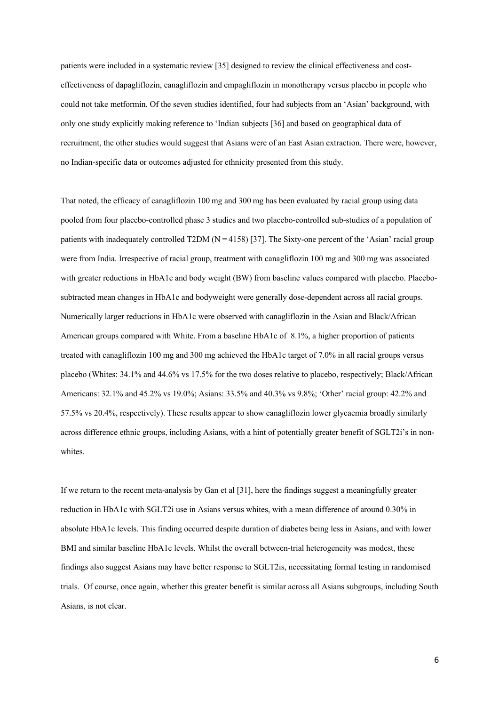patients were included in a systematic review [35] designed to review the clinical effectiveness and costeffectiveness of dapagliflozin, canagliflozin and empagliflozin in monotherapy versus placebo in people who could not take metformin. Of the seven studies identified, four had subjects from an 'Asian' background, with only one study explicitly making reference to 'Indian subjects [36] and based on geographical data of recruitment, the other studies would suggest that Asians were of an East Asian extraction. There were, however, no Indian-specific data or outcomes adjusted for ethnicity presented from this study.

That noted, the efficacy of canagliflozin 100 mg and 300 mg has been evaluated by racial group using data pooled from four placebo-controlled phase 3 studies and two placebo-controlled sub-studies of a population of patients with inadequately controlled T2DM ( $N = 4158$ ) [37]. The Sixty-one percent of the 'Asian' racial group were from India. Irrespective of racial group, treatment with canagliflozin 100 mg and 300 mg was associated with greater reductions in HbA1c and body weight (BW) from baseline values compared with placebo. Placebosubtracted mean changes in HbA1c and bodyweight were generally dose-dependent across all racial groups. Numerically larger reductions in HbA1c were observed with canagliflozin in the Asian and Black/African American groups compared with White. From a baseline HbA1c of 8.1%, a higher proportion of patients treated with canagliflozin 100 mg and 300 mg achieved the HbA1c target of 7.0% in all racial groups versus placebo (Whites: 34.1% and 44.6% vs 17.5% for the two doses relative to placebo, respectively; Black/African Americans: 32.1% and 45.2% vs 19.0%; Asians: 33.5% and 40.3% vs 9.8%; 'Other' racial group: 42.2% and 57.5% vs 20.4%, respectively). These results appear to show canagliflozin lower glycaemia broadly similarly across difference ethnic groups, including Asians, with a hint of potentially greater benefit of SGLT2i's in nonwhites.

If we return to the recent meta-analysis by Gan et al [31], here the findings suggest a meaningfully greater reduction in HbA1c with SGLT2i use in Asians versus whites, with a mean difference of around 0.30% in absolute HbA1c levels. This finding occurred despite duration of diabetes being less in Asians, and with lower BMI and similar baseline HbA1c levels. Whilst the overall between-trial heterogeneity was modest, these findings also suggest Asians may have better response to SGLT2is, necessitating formal testing in randomised trials. Of course, once again, whether this greater benefit is similar across all Asians subgroups, including South Asians, is not clear.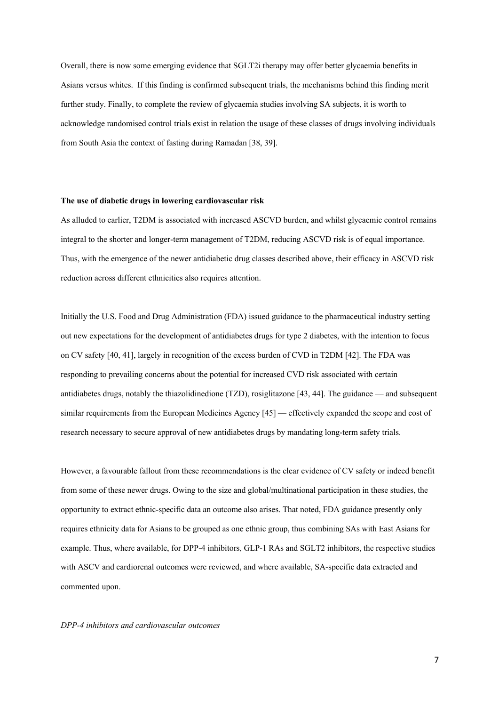Overall, there is now some emerging evidence that SGLT2i therapy may offer better glycaemia benefits in Asians versus whites. If this finding is confirmed subsequent trials, the mechanisms behind this finding merit further study. Finally, to complete the review of glycaemia studies involving SA subjects, it is worth to acknowledge randomised control trials exist in relation the usage of these classes of drugs involving individuals from South Asia the context of fasting during Ramadan [38, 39].

#### **The use of diabetic drugs in lowering cardiovascular risk**

As alluded to earlier, T2DM is associated with increased ASCVD burden, and whilst glycaemic control remains integral to the shorter and longer-term management of T2DM, reducing ASCVD risk is of equal importance. Thus, with the emergence of the newer antidiabetic drug classes described above, their efficacy in ASCVD risk reduction across different ethnicities also requires attention.

Initially the U.S. Food and Drug Administration (FDA) issued guidance to the pharmaceutical industry setting out new expectations for the development of antidiabetes drugs for type 2 diabetes, with the intention to focus on CV safety [40, 41], largely in recognition of the excess burden of CVD in T2DM [42]. The FDA was responding to prevailing concerns about the potential for increased CVD risk associated with certain antidiabetes drugs, notably the thiazolidinedione (TZD), rosiglitazone [43, 44]. The guidance — and subsequent similar requirements from the European Medicines Agency [45] — effectively expanded the scope and cost of research necessary to secure approval of new antidiabetes drugs by mandating long-term safety trials.

However, a favourable fallout from these recommendations is the clear evidence of CV safety or indeed benefit from some of these newer drugs. Owing to the size and global/multinational participation in these studies, the opportunity to extract ethnic-specific data an outcome also arises. That noted, FDA guidance presently only requires ethnicity data for Asians to be grouped as one ethnic group, thus combining SAs with East Asians for example. Thus, where available, for DPP-4 inhibitors, GLP-1 RAs and SGLT2 inhibitors, the respective studies with ASCV and cardiorenal outcomes were reviewed, and where available, SA-specific data extracted and commented upon.

#### *DPP-4 inhibitors and cardiovascular outcomes*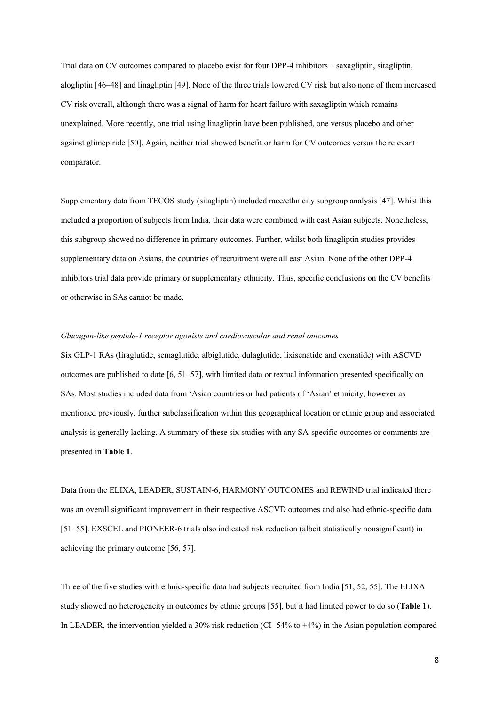Trial data on CV outcomes compared to placebo exist for four DPP-4 inhibitors – saxagliptin, sitagliptin, alogliptin [46–48] and linagliptin [49]. None of the three trials lowered CV risk but also none of them increased CV risk overall, although there was a signal of harm for heart failure with saxagliptin which remains unexplained. More recently, one trial using linagliptin have been published, one versus placebo and other against glimepiride [50]. Again, neither trial showed benefit or harm for CV outcomes versus the relevant comparator.

Supplementary data from TECOS study (sitagliptin) included race/ethnicity subgroup analysis [47]. Whist this included a proportion of subjects from India, their data were combined with east Asian subjects. Nonetheless, this subgroup showed no difference in primary outcomes. Further, whilst both linagliptin studies provides supplementary data on Asians, the countries of recruitment were all east Asian. None of the other DPP-4 inhibitors trial data provide primary or supplementary ethnicity. Thus, specific conclusions on the CV benefits or otherwise in SAs cannot be made.

#### *Glucagon-like peptide-1 receptor agonists and cardiovascular and renal outcomes*

Six GLP-1 RAs (liraglutide, semaglutide, albiglutide, dulaglutide, lixisenatide and exenatide) with ASCVD outcomes are published to date [6, 51–57], with limited data or textual information presented specifically on SAs. Most studies included data from 'Asian countries or had patients of 'Asian' ethnicity, however as mentioned previously, further subclassification within this geographical location or ethnic group and associated analysis is generally lacking. A summary of these six studies with any SA-specific outcomes or comments are presented in **Table 1**.

Data from the ELIXA, LEADER, SUSTAIN-6, HARMONY OUTCOMES and REWIND trial indicated there was an overall significant improvement in their respective ASCVD outcomes and also had ethnic-specific data [51–55]. EXSCEL and PIONEER-6 trials also indicated risk reduction (albeit statistically nonsignificant) in achieving the primary outcome [56, 57].

Three of the five studies with ethnic-specific data had subjects recruited from India [51, 52, 55]. The ELIXA study showed no heterogeneity in outcomes by ethnic groups [55], but it had limited power to do so (**Table 1**). In LEADER, the intervention yielded a 30% risk reduction (CI -54% to +4%) in the Asian population compared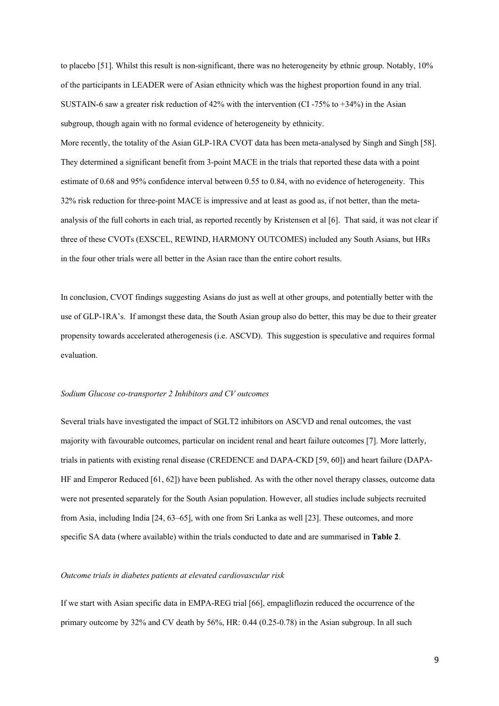to placebo [51]. Whilst this result is non-significant, there was no heterogeneity by ethnic group. Notably, 10% of the participants in LEADER were of Asian ethnicity which was the highest proportion found in any trial. SUSTAIN-6 saw a greater risk reduction of 42% with the intervention (CI -75% to +34%) in the Asian subgroup, though again with no formal evidence of heterogeneity by ethnicity.

More recently, the totality of the Asian GLP-1RA CVOT data has been meta-analysed by Singh and Singh [58]. They determined a significant benefit from 3-point MACE in the trials that reported these data with a point estimate of 0.68 and 95% confidence interval between 0.55 to 0.84, with no evidence of heterogeneity. This 32% risk reduction for three-point MACE is impressive and at least as good as, if not better, than the metaanalysis of the full cohorts in each trial, as reported recently by Kristensen et al [6]. That said, it was not clear if three of these CVOTs (EXSCEL, REWIND, HARMONY OUTCOMES) included any South Asians, but HRs in the four other trials were all better in the Asian race than the entire cohort results.

In conclusion, CVOT findings suggesting Asians do just as well at other groups, and potentially better with the use of GLP-1RA's. If amongst these data, the South Asian group also do better, this may be due to their greater propensity towards accelerated atherogenesis (i.e. ASCVD). This suggestion is speculative and requires formal evaluation.

#### *Sodium Glucose co-transporter 2 Inhibitors and CV outcomes*

Several trials have investigated the impact of SGLT2 inhibitors on ASCVD and renal outcomes, the vast majority with favourable outcomes, particular on incident renal and heart failure outcomes [7]. More latterly, trials in patients with existing renal disease (CREDENCE and DAPA-CKD [59, 60]) and heart failure (DAPA-HF and Emperor Reduced [61, 62]) have been published. As with the other novel therapy classes, outcome data were not presented separately for the South Asian population. However, all studies include subjects recruited from Asia, including India [24, 63–65], with one from Sri Lanka as well [23]. These outcomes, and more specific SA data (where available) within the trials conducted to date and are summarised in **Table 2**.

## *Outcome trials in diabetes patients at elevated cardiovascular risk*

If we start with Asian specific data in EMPA-REG trial [66], empagliflozin reduced the occurrence of the primary outcome by 32% and CV death by 56%, HR: 0.44 (0.25-0.78) in the Asian subgroup. In all such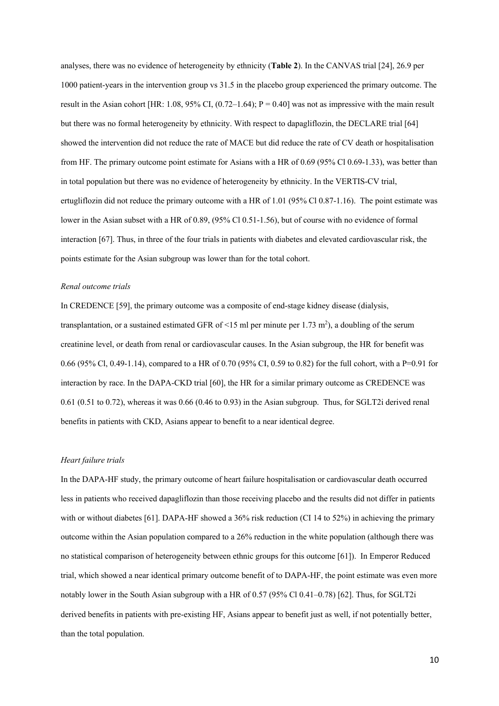analyses, there was no evidence of heterogeneity by ethnicity (**Table 2**). In the CANVAS trial [24], 26.9 per 1000 patient-years in the intervention group vs 31.5 in the placebo group experienced the primary outcome. The result in the Asian cohort [HR: 1.08, 95% CI,  $(0.72-1.64)$ ; P = 0.40] was not as impressive with the main result but there was no formal heterogeneity by ethnicity. With respect to dapagliflozin, the DECLARE trial [64] showed the intervention did not reduce the rate of MACE but did reduce the rate of CV death or hospitalisation from HF. The primary outcome point estimate for Asians with a HR of 0.69 (95% Cl 0.69-1.33), was better than in total population but there was no evidence of heterogeneity by ethnicity. In the VERTIS-CV trial, ertugliflozin did not reduce the primary outcome with a HR of 1.01 (95% Cl 0.87-1.16). The point estimate was lower in the Asian subset with a HR of 0.89, (95% Cl 0.51-1.56), but of course with no evidence of formal interaction [67]. Thus, in three of the four trials in patients with diabetes and elevated cardiovascular risk, the points estimate for the Asian subgroup was lower than for the total cohort.

#### *Renal outcome trials*

In CREDENCE [59], the primary outcome was a composite of end-stage kidney disease (dialysis, transplantation, or a sustained estimated GFR of <15 ml per minute per 1.73 m<sup>2</sup>), a doubling of the serum creatinine level, or death from renal or cardiovascular causes. In the Asian subgroup, the HR for benefit was 0.66 (95% Cl, 0.49-1.14), compared to a HR of 0.70 (95% CI, 0.59 to 0.82) for the full cohort, with a P=0.91 for interaction by race. In the DAPA-CKD trial [60], the HR for a similar primary outcome as CREDENCE was 0.61 (0.51 to 0.72), whereas it was 0.66 (0.46 to 0.93) in the Asian subgroup. Thus, for SGLT2i derived renal benefits in patients with CKD, Asians appear to benefit to a near identical degree.

### *Heart failure trials*

In the DAPA-HF study, the primary outcome of heart failure hospitalisation or cardiovascular death occurred less in patients who received dapagliflozin than those receiving placebo and the results did not differ in patients with or without diabetes [61]. DAPA-HF showed a 36% risk reduction (CI 14 to 52%) in achieving the primary outcome within the Asian population compared to a 26% reduction in the white population (although there was no statistical comparison of heterogeneity between ethnic groups for this outcome [61]). In Emperor Reduced trial, which showed a near identical primary outcome benefit of to DAPA-HF, the point estimate was even more notably lower in the South Asian subgroup with a HR of 0.57 (95% Cl 0.41–0.78) [62]. Thus, for SGLT2i derived benefits in patients with pre-existing HF, Asians appear to benefit just as well, if not potentially better, than the total population.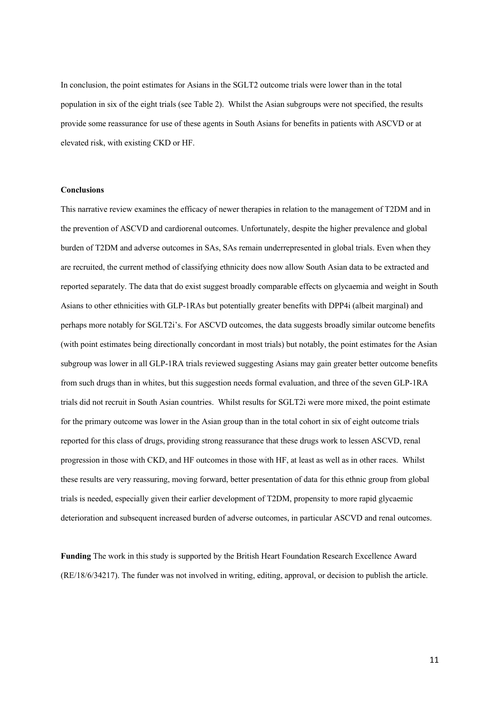In conclusion, the point estimates for Asians in the SGLT2 outcome trials were lower than in the total population in six of the eight trials (see Table 2). Whilst the Asian subgroups were not specified, the results provide some reassurance for use of these agents in South Asians for benefits in patients with ASCVD or at elevated risk, with existing CKD or HF.

#### **Conclusions**

This narrative review examines the efficacy of newer therapies in relation to the management of T2DM and in the prevention of ASCVD and cardiorenal outcomes. Unfortunately, despite the higher prevalence and global burden of T2DM and adverse outcomes in SAs, SAs remain underrepresented in global trials. Even when they are recruited, the current method of classifying ethnicity does now allow South Asian data to be extracted and reported separately. The data that do exist suggest broadly comparable effects on glycaemia and weight in South Asians to other ethnicities with GLP-1RAs but potentially greater benefits with DPP4i (albeit marginal) and perhaps more notably for SGLT2i's. For ASCVD outcomes, the data suggests broadly similar outcome benefits (with point estimates being directionally concordant in most trials) but notably, the point estimates for the Asian subgroup was lower in all GLP-1RA trials reviewed suggesting Asians may gain greater better outcome benefits from such drugs than in whites, but this suggestion needs formal evaluation, and three of the seven GLP-1RA trials did not recruit in South Asian countries. Whilst results for SGLT2i were more mixed, the point estimate for the primary outcome was lower in the Asian group than in the total cohort in six of eight outcome trials reported for this class of drugs, providing strong reassurance that these drugs work to lessen ASCVD, renal progression in those with CKD, and HF outcomes in those with HF, at least as well as in other races. Whilst these results are very reassuring, moving forward, better presentation of data for this ethnic group from global trials is needed, especially given their earlier development of T2DM, propensity to more rapid glycaemic deterioration and subsequent increased burden of adverse outcomes, in particular ASCVD and renal outcomes.

**Funding** The work in this study is supported by the British Heart Foundation Research Excellence Award (RE/18/6/34217). The funder was not involved in writing, editing, approval, or decision to publish the article.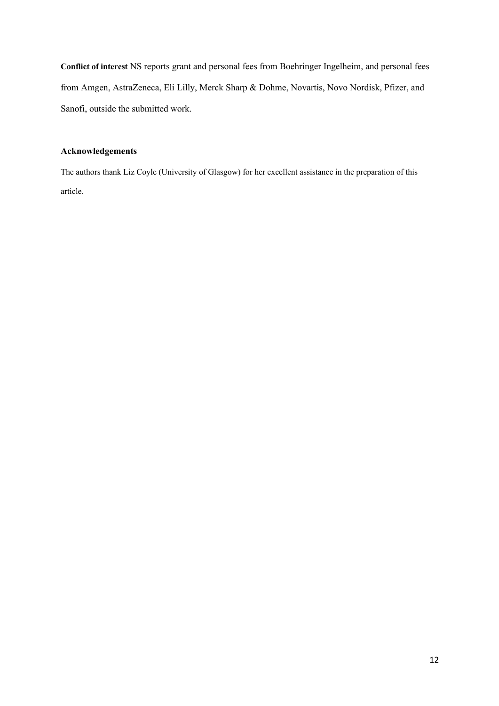**Conflict of interest** NS reports grant and personal fees from Boehringer Ingelheim, and personal fees from Amgen, AstraZeneca, Eli Lilly, Merck Sharp & Dohme, Novartis, Novo Nordisk, Pfizer, and Sanofi, outside the submitted work.

# **Acknowledgements**

The authors thank Liz Coyle (University of Glasgow) for her excellent assistance in the preparation of this article.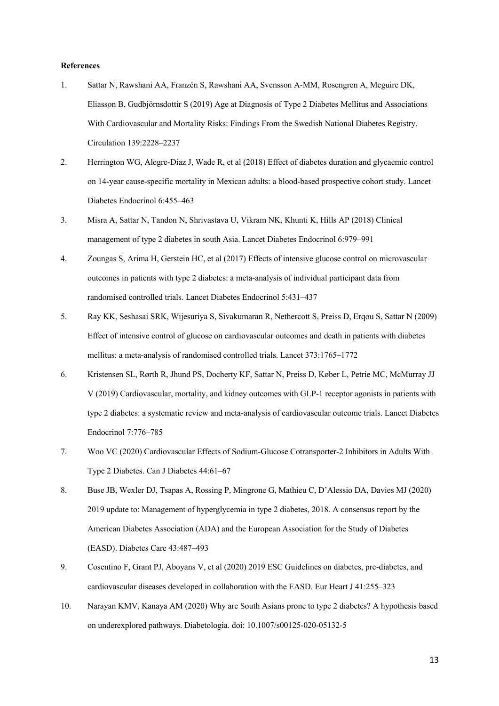#### **References**

- 1. Sattar N, Rawshani AA, Franzén S, Rawshani AA, Svensson A-MM, Rosengren A, Mcguire DK, Eliasson B, Gudbjörnsdottir S (2019) Age at Diagnosis of Type 2 Diabetes Mellitus and Associations With Cardiovascular and Mortality Risks: Findings From the Swedish National Diabetes Registry. Circulation 139:2228–2237
- 2. Herrington WG, Alegre-Díaz J, Wade R, et al (2018) Effect of diabetes duration and glycaemic control on 14-year cause-specific mortality in Mexican adults: a blood-based prospective cohort study. Lancet Diabetes Endocrinol 6:455–463
- 3. Misra A, Sattar N, Tandon N, Shrivastava U, Vikram NK, Khunti K, Hills AP (2018) Clinical management of type 2 diabetes in south Asia. Lancet Diabetes Endocrinol 6:979–991
- 4. Zoungas S, Arima H, Gerstein HC, et al (2017) Effects of intensive glucose control on microvascular outcomes in patients with type 2 diabetes: a meta-analysis of individual participant data from randomised controlled trials. Lancet Diabetes Endocrinol 5:431–437
- 5. Ray KK, Seshasai SRK, Wijesuriya S, Sivakumaran R, Nethercott S, Preiss D, Erqou S, Sattar N (2009) Effect of intensive control of glucose on cardiovascular outcomes and death in patients with diabetes mellitus: a meta-analysis of randomised controlled trials. Lancet 373:1765–1772
- 6. Kristensen SL, Rørth R, Jhund PS, Docherty KF, Sattar N, Preiss D, Køber L, Petrie MC, McMurray JJ V (2019) Cardiovascular, mortality, and kidney outcomes with GLP-1 receptor agonists in patients with type 2 diabetes: a systematic review and meta-analysis of cardiovascular outcome trials. Lancet Diabetes Endocrinol 7:776–785
- 7. Woo VC (2020) Cardiovascular Effects of Sodium-Glucose Cotransporter-2 Inhibitors in Adults With Type 2 Diabetes. Can J Diabetes 44:61–67
- 8. Buse JB, Wexler DJ, Tsapas A, Rossing P, Mingrone G, Mathieu C, D'Alessio DA, Davies MJ (2020) 2019 update to: Management of hyperglycemia in type 2 diabetes, 2018. A consensus report by the American Diabetes Association (ADA) and the European Association for the Study of Diabetes (EASD). Diabetes Care 43:487–493
- 9. Cosentino F, Grant PJ, Aboyans V, et al (2020) 2019 ESC Guidelines on diabetes, pre-diabetes, and cardiovascular diseases developed in collaboration with the EASD. Eur Heart J 41:255–323
- 10. Narayan KMV, Kanaya AM (2020) Why are South Asians prone to type 2 diabetes? A hypothesis based on underexplored pathways. Diabetologia. doi: 10.1007/s00125-020-05132-5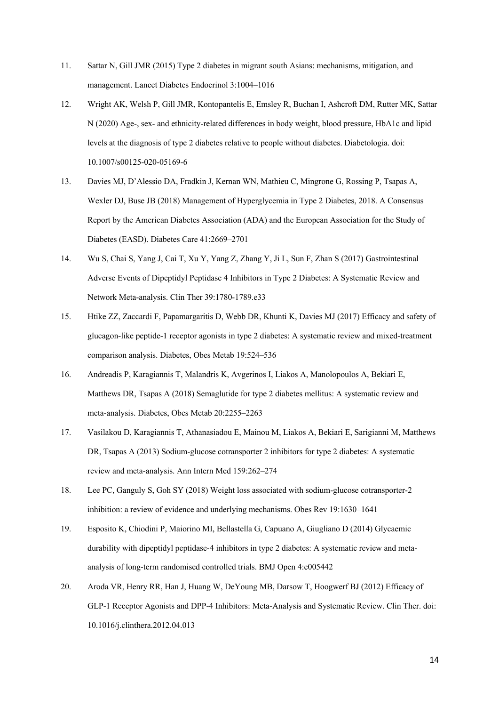- 11. Sattar N, Gill JMR (2015) Type 2 diabetes in migrant south Asians: mechanisms, mitigation, and management. Lancet Diabetes Endocrinol 3:1004–1016
- 12. Wright AK, Welsh P, Gill JMR, Kontopantelis E, Emsley R, Buchan I, Ashcroft DM, Rutter MK, Sattar N (2020) Age-, sex- and ethnicity-related differences in body weight, blood pressure, HbA1c and lipid levels at the diagnosis of type 2 diabetes relative to people without diabetes. Diabetologia. doi: 10.1007/s00125-020-05169-6
- 13. Davies MJ, D'Alessio DA, Fradkin J, Kernan WN, Mathieu C, Mingrone G, Rossing P, Tsapas A, Wexler DJ, Buse JB (2018) Management of Hyperglycemia in Type 2 Diabetes, 2018. A Consensus Report by the American Diabetes Association (ADA) and the European Association for the Study of Diabetes (EASD). Diabetes Care 41:2669–2701
- 14. Wu S, Chai S, Yang J, Cai T, Xu Y, Yang Z, Zhang Y, Ji L, Sun F, Zhan S (2017) Gastrointestinal Adverse Events of Dipeptidyl Peptidase 4 Inhibitors in Type 2 Diabetes: A Systematic Review and Network Meta-analysis. Clin Ther 39:1780-1789.e33
- 15. Htike ZZ, Zaccardi F, Papamargaritis D, Webb DR, Khunti K, Davies MJ (2017) Efficacy and safety of glucagon-like peptide-1 receptor agonists in type 2 diabetes: A systematic review and mixed-treatment comparison analysis. Diabetes, Obes Metab 19:524–536
- 16. Andreadis P, Karagiannis T, Malandris K, Avgerinos I, Liakos A, Manolopoulos A, Bekiari E, Matthews DR, Tsapas A (2018) Semaglutide for type 2 diabetes mellitus: A systematic review and meta-analysis. Diabetes, Obes Metab 20:2255–2263
- 17. Vasilakou D, Karagiannis T, Athanasiadou E, Mainou M, Liakos A, Bekiari E, Sarigianni M, Matthews DR, Tsapas A (2013) Sodium-glucose cotransporter 2 inhibitors for type 2 diabetes: A systematic review and meta-analysis. Ann Intern Med 159:262–274
- 18. Lee PC, Ganguly S, Goh SY (2018) Weight loss associated with sodium-glucose cotransporter-2 inhibition: a review of evidence and underlying mechanisms. Obes Rev 19:1630–1641
- 19. Esposito K, Chiodini P, Maiorino MI, Bellastella G, Capuano A, Giugliano D (2014) Glycaemic durability with dipeptidyl peptidase-4 inhibitors in type 2 diabetes: A systematic review and metaanalysis of long-term randomised controlled trials. BMJ Open 4:e005442
- 20. Aroda VR, Henry RR, Han J, Huang W, DeYoung MB, Darsow T, Hoogwerf BJ (2012) Efficacy of GLP-1 Receptor Agonists and DPP-4 Inhibitors: Meta-Analysis and Systematic Review. Clin Ther. doi: 10.1016/j.clinthera.2012.04.013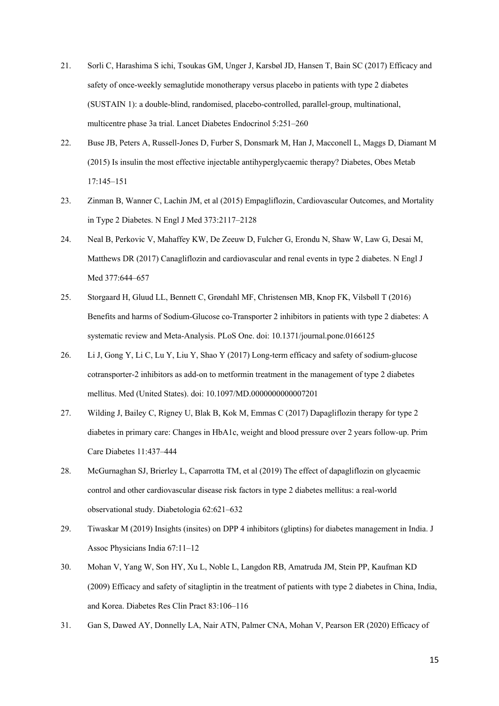- 21. Sorli C, Harashima S ichi, Tsoukas GM, Unger J, Karsbøl JD, Hansen T, Bain SC (2017) Efficacy and safety of once-weekly semaglutide monotherapy versus placebo in patients with type 2 diabetes (SUSTAIN 1): a double-blind, randomised, placebo-controlled, parallel-group, multinational, multicentre phase 3a trial. Lancet Diabetes Endocrinol 5:251–260
- 22. Buse JB, Peters A, Russell-Jones D, Furber S, Donsmark M, Han J, Macconell L, Maggs D, Diamant M (2015) Is insulin the most effective injectable antihyperglycaemic therapy? Diabetes, Obes Metab 17:145–151
- 23. Zinman B, Wanner C, Lachin JM, et al (2015) Empagliflozin, Cardiovascular Outcomes, and Mortality in Type 2 Diabetes. N Engl J Med 373:2117–2128
- 24. Neal B, Perkovic V, Mahaffey KW, De Zeeuw D, Fulcher G, Erondu N, Shaw W, Law G, Desai M, Matthews DR (2017) Canagliflozin and cardiovascular and renal events in type 2 diabetes. N Engl J Med 377:644–657
- 25. Storgaard H, Gluud LL, Bennett C, Grøndahl MF, Christensen MB, Knop FK, Vilsbøll T (2016) Benefits and harms of Sodium-Glucose co-Transporter 2 inhibitors in patients with type 2 diabetes: A systematic review and Meta-Analysis. PLoS One. doi: 10.1371/journal.pone.0166125
- 26. Li J, Gong Y, Li C, Lu Y, Liu Y, Shao Y (2017) Long-term efficacy and safety of sodium-glucose cotransporter-2 inhibitors as add-on to metformin treatment in the management of type 2 diabetes mellitus. Med (United States). doi: 10.1097/MD.0000000000007201
- 27. Wilding J, Bailey C, Rigney U, Blak B, Kok M, Emmas C (2017) Dapagliflozin therapy for type 2 diabetes in primary care: Changes in HbA1c, weight and blood pressure over 2 years follow-up. Prim Care Diabetes 11:437–444
- 28. McGurnaghan SJ, Brierley L, Caparrotta TM, et al (2019) The effect of dapagliflozin on glycaemic control and other cardiovascular disease risk factors in type 2 diabetes mellitus: a real-world observational study. Diabetologia 62:621–632
- 29. Tiwaskar M (2019) Insights (insites) on DPP 4 inhibitors (gliptins) for diabetes management in India. J Assoc Physicians India 67:11–12
- 30. Mohan V, Yang W, Son HY, Xu L, Noble L, Langdon RB, Amatruda JM, Stein PP, Kaufman KD (2009) Efficacy and safety of sitagliptin in the treatment of patients with type 2 diabetes in China, India, and Korea. Diabetes Res Clin Pract 83:106–116
- 31. Gan S, Dawed AY, Donnelly LA, Nair ATN, Palmer CNA, Mohan V, Pearson ER (2020) Efficacy of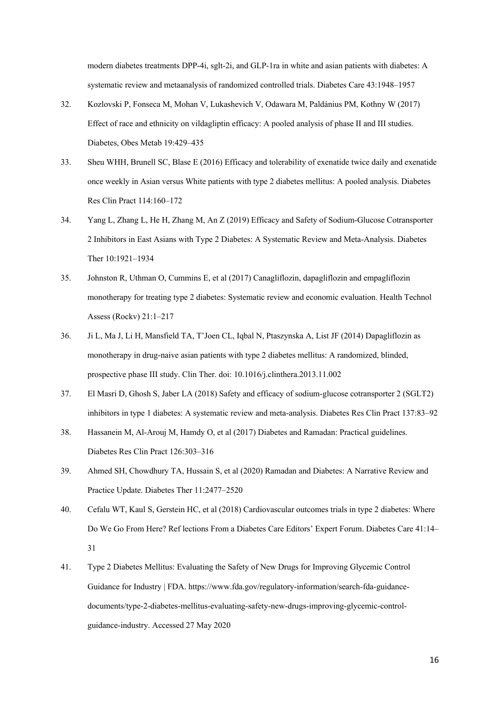modern diabetes treatments DPP-4i, sglt-2i, and GLP-1ra in white and asian patients with diabetes: A systematic review and metaanalysis of randomized controlled trials. Diabetes Care 43:1948–1957

- 32. Kozlovski P, Fonseca M, Mohan V, Lukashevich V, Odawara M, Paldánius PM, Kothny W (2017) Effect of race and ethnicity on vildagliptin efficacy: A pooled analysis of phase II and III studies. Diabetes, Obes Metab 19:429–435
- 33. Sheu WHH, Brunell SC, Blase E (2016) Efficacy and tolerability of exenatide twice daily and exenatide once weekly in Asian versus White patients with type 2 diabetes mellitus: A pooled analysis. Diabetes Res Clin Pract 114:160–172
- 34. Yang L, Zhang L, He H, Zhang M, An Z (2019) Efficacy and Safety of Sodium-Glucose Cotransporter 2 Inhibitors in East Asians with Type 2 Diabetes: A Systematic Review and Meta-Analysis. Diabetes Ther 10:1921–1934
- 35. Johnston R, Uthman O, Cummins E, et al (2017) Canagliflozin, dapagliflozin and empagliflozin monotherapy for treating type 2 diabetes: Systematic review and economic evaluation. Health Technol Assess (Rockv) 21:1–217
- 36. Ji L, Ma J, Li H, Mansfield TA, T'Joen CL, Iqbal N, Ptaszynska A, List JF (2014) Dapagliflozin as monotherapy in drug-naive asian patients with type 2 diabetes mellitus: A randomized, blinded, prospective phase III study. Clin Ther. doi: 10.1016/j.clinthera.2013.11.002
- 37. El Masri D, Ghosh S, Jaber LA (2018) Safety and efficacy of sodium-glucose cotransporter 2 (SGLT2) inhibitors in type 1 diabetes: A systematic review and meta-analysis. Diabetes Res Clin Pract 137:83–92
- 38. Hassanein M, Al-Arouj M, Hamdy O, et al (2017) Diabetes and Ramadan: Practical guidelines. Diabetes Res Clin Pract 126:303–316
- 39. Ahmed SH, Chowdhury TA, Hussain S, et al (2020) Ramadan and Diabetes: A Narrative Review and Practice Update. Diabetes Ther 11:2477–2520
- 40. Cefalu WT, Kaul S, Gerstein HC, et al (2018) Cardiovascular outcomes trials in type 2 diabetes: Where Do We Go From Here? Ref lections From a Diabetes Care Editors' Expert Forum. Diabetes Care 41:14– 31
- 41. Type 2 Diabetes Mellitus: Evaluating the Safety of New Drugs for Improving Glycemic Control Guidance for Industry | FDA. https://www.fda.gov/regulatory-information/search-fda-guidancedocuments/type-2-diabetes-mellitus-evaluating-safety-new-drugs-improving-glycemic-controlguidance-industry. Accessed 27 May 2020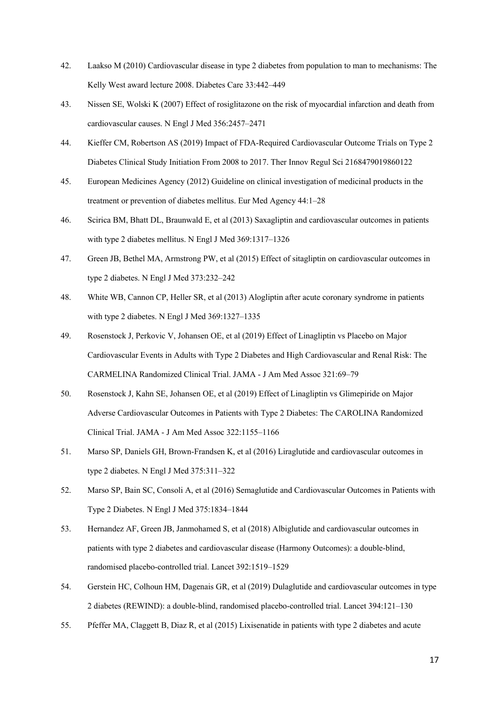- 42. Laakso M (2010) Cardiovascular disease in type 2 diabetes from population to man to mechanisms: The Kelly West award lecture 2008. Diabetes Care 33:442–449
- 43. Nissen SE, Wolski K (2007) Effect of rosiglitazone on the risk of myocardial infarction and death from cardiovascular causes. N Engl J Med 356:2457–2471
- 44. Kieffer CM, Robertson AS (2019) Impact of FDA-Required Cardiovascular Outcome Trials on Type 2 Diabetes Clinical Study Initiation From 2008 to 2017. Ther Innov Regul Sci 2168479019860122
- 45. European Medicines Agency (2012) Guideline on clinical investigation of medicinal products in the treatment or prevention of diabetes mellitus. Eur Med Agency 44:1–28
- 46. Scirica BM, Bhatt DL, Braunwald E, et al (2013) Saxagliptin and cardiovascular outcomes in patients with type 2 diabetes mellitus. N Engl J Med 369:1317–1326
- 47. Green JB, Bethel MA, Armstrong PW, et al (2015) Effect of sitagliptin on cardiovascular outcomes in type 2 diabetes. N Engl J Med 373:232–242
- 48. White WB, Cannon CP, Heller SR, et al (2013) Alogliptin after acute coronary syndrome in patients with type 2 diabetes. N Engl J Med 369:1327–1335
- 49. Rosenstock J, Perkovic V, Johansen OE, et al (2019) Effect of Linagliptin vs Placebo on Major Cardiovascular Events in Adults with Type 2 Diabetes and High Cardiovascular and Renal Risk: The CARMELINA Randomized Clinical Trial. JAMA - J Am Med Assoc 321:69–79
- 50. Rosenstock J, Kahn SE, Johansen OE, et al (2019) Effect of Linagliptin vs Glimepiride on Major Adverse Cardiovascular Outcomes in Patients with Type 2 Diabetes: The CAROLINA Randomized Clinical Trial. JAMA - J Am Med Assoc 322:1155–1166
- 51. Marso SP, Daniels GH, Brown-Frandsen K, et al (2016) Liraglutide and cardiovascular outcomes in type 2 diabetes. N Engl J Med 375:311–322
- 52. Marso SP, Bain SC, Consoli A, et al (2016) Semaglutide and Cardiovascular Outcomes in Patients with Type 2 Diabetes. N Engl J Med 375:1834–1844
- 53. Hernandez AF, Green JB, Janmohamed S, et al (2018) Albiglutide and cardiovascular outcomes in patients with type 2 diabetes and cardiovascular disease (Harmony Outcomes): a double-blind, randomised placebo-controlled trial. Lancet 392:1519–1529
- 54. Gerstein HC, Colhoun HM, Dagenais GR, et al (2019) Dulaglutide and cardiovascular outcomes in type 2 diabetes (REWIND): a double-blind, randomised placebo-controlled trial. Lancet 394:121–130
- 55. Pfeffer MA, Claggett B, Diaz R, et al (2015) Lixisenatide in patients with type 2 diabetes and acute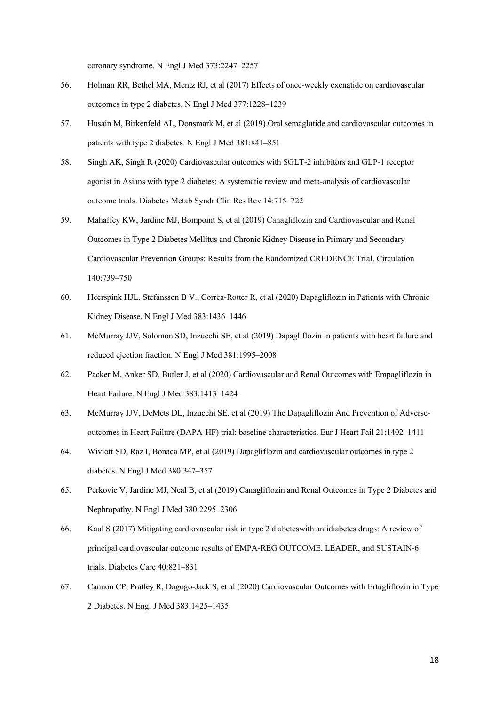coronary syndrome. N Engl J Med 373:2247–2257

- 56. Holman RR, Bethel MA, Mentz RJ, et al (2017) Effects of once-weekly exenatide on cardiovascular outcomes in type 2 diabetes. N Engl J Med 377:1228–1239
- 57. Husain M, Birkenfeld AL, Donsmark M, et al (2019) Oral semaglutide and cardiovascular outcomes in patients with type 2 diabetes. N Engl J Med 381:841–851
- 58. Singh AK, Singh R (2020) Cardiovascular outcomes with SGLT-2 inhibitors and GLP-1 receptor agonist in Asians with type 2 diabetes: A systematic review and meta-analysis of cardiovascular outcome trials. Diabetes Metab Syndr Clin Res Rev 14:715–722
- 59. Mahaffey KW, Jardine MJ, Bompoint S, et al (2019) Canagliflozin and Cardiovascular and Renal Outcomes in Type 2 Diabetes Mellitus and Chronic Kidney Disease in Primary and Secondary Cardiovascular Prevention Groups: Results from the Randomized CREDENCE Trial. Circulation 140:739–750
- 60. Heerspink HJL, Stefánsson B V., Correa-Rotter R, et al (2020) Dapagliflozin in Patients with Chronic Kidney Disease. N Engl J Med 383:1436–1446
- 61. McMurray JJV, Solomon SD, Inzucchi SE, et al (2019) Dapagliflozin in patients with heart failure and reduced ejection fraction. N Engl J Med 381:1995–2008
- 62. Packer M, Anker SD, Butler J, et al (2020) Cardiovascular and Renal Outcomes with Empagliflozin in Heart Failure. N Engl J Med 383:1413–1424
- 63. McMurray JJV, DeMets DL, Inzucchi SE, et al (2019) The Dapagliflozin And Prevention of Adverseoutcomes in Heart Failure (DAPA-HF) trial: baseline characteristics. Eur J Heart Fail 21:1402–1411
- 64. Wiviott SD, Raz I, Bonaca MP, et al (2019) Dapagliflozin and cardiovascular outcomes in type 2 diabetes. N Engl J Med 380:347–357
- 65. Perkovic V, Jardine MJ, Neal B, et al (2019) Canagliflozin and Renal Outcomes in Type 2 Diabetes and Nephropathy. N Engl J Med 380:2295–2306
- 66. Kaul S (2017) Mitigating cardiovascular risk in type 2 diabeteswith antidiabetes drugs: A review of principal cardiovascular outcome results of EMPA-REG OUTCOME, LEADER, and SUSTAIN-6 trials. Diabetes Care 40:821–831
- 67. Cannon CP, Pratley R, Dagogo-Jack S, et al (2020) Cardiovascular Outcomes with Ertugliflozin in Type 2 Diabetes. N Engl J Med 383:1425–1435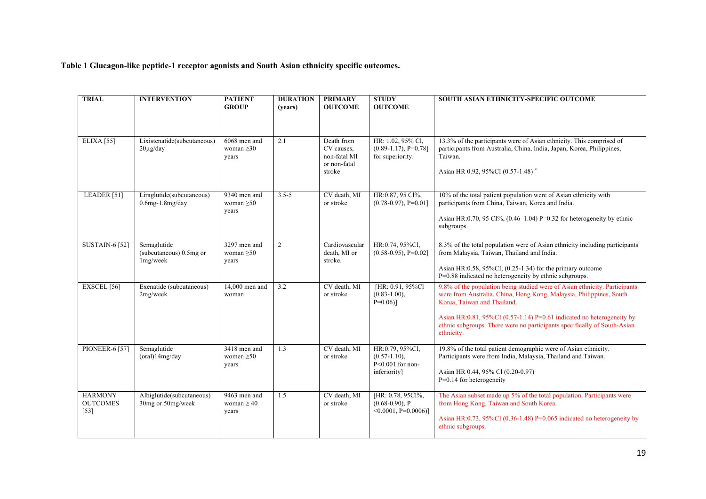**Table 1 Glucagon-like peptide-1 receptor agonists and South Asian ethnicity specific outcomes.**

| <b>TRIAL</b>                                | <b>INTERVENTION</b>                                 | <b>PATIENT</b><br><b>GROUP</b>           | <b>DURATION</b><br>(years) | <b>PRIMARY</b><br><b>OUTCOME</b>                                   | <b>STUDY</b><br><b>OUTCOME</b>                                         | SOUTH ASIAN ETHNICITY-SPECIFIC OUTCOME                                                                                                                                                                                                                                                                                                              |
|---------------------------------------------|-----------------------------------------------------|------------------------------------------|----------------------------|--------------------------------------------------------------------|------------------------------------------------------------------------|-----------------------------------------------------------------------------------------------------------------------------------------------------------------------------------------------------------------------------------------------------------------------------------------------------------------------------------------------------|
| ELIXA [55]                                  | Lixistenatide(subcutaneous)<br>$20\mu g/day$        | 6068 men and<br>woman $\geq 30$<br>years | 2.1                        | Death from<br>CV causes,<br>non-fatal MI<br>or non-fatal<br>stroke | HR: 1.02, 95% Cl,<br>$(0.89-1.17), P=0.78$ ]<br>for superiority.       | 13.3% of the participants were of Asian ethnicity. This comprised of<br>participants from Australia, China, India, Japan, Korea, Philippines,<br>Taiwan.<br>Asian HR 0.92, 95%CI (0.57-1.48) <sup>*</sup>                                                                                                                                           |
| LEADER <sup>[51]</sup>                      | Liraglutide(subcutaneous)<br>$0.6$ mg- $1.8$ mg/day | 9340 men and<br>woman $\geq 50$<br>years | $3.5 - 5$                  | CV death, MI<br>or stroke                                          | HR:0.87, 95 Cl%,<br>$(0.78-0.97), P=0.01$                              | 10% of the total patient population were of Asian ethnicity with<br>participants from China, Taiwan, Korea and India.<br>Asian HR:0.70, 95 CI%, $(0.46-1.04)$ P=0.32 for heterogeneity by ethnic<br>subgroups.                                                                                                                                      |
| <b>SUSTAIN-6 [52]</b>                       | Semaglutide<br>(subcutaneous) 0.5mg or<br>1mg/week  | 3297 men and<br>woman $>50$<br>years     | $\overline{2}$             | Cardiovascular<br>death. MI or<br>stroke.                          | HR:0.74, 95%Cl,<br>$(0.58-0.95), P=0.02$                               | 8.3% of the total population were of Asian ethnicity including participants<br>from Malaysia, Taiwan, Thailand and India.<br>Asian HR: $0.58$ , 95%CI, $(0.25-1.34)$ for the primary outcome<br>P=0.88 indicated no heterogeneity by ethnic subgroups.                                                                                              |
| EXSCEL <sup>[56]</sup>                      | Exenatide (subcutaneous)<br>2mg/week                | 14,000 men and<br>woman                  | 3.2                        | CV death, MI<br>or stroke                                          | [HR: 0.91, 95%Cl]<br>$(0.83 - 1.00),$<br>$P=0.06$ ].                   | 9.8% of the population being studied were of Asian ethnicity. Participants<br>were from Australia, China, Hong Kong, Malaysia, Philippines, South<br>Korea, Taiwan and Thailand.<br>Asian HR:0.81, 95%CI (0.57-1.14) P=0.61 indicated no heterogeneity by<br>ethnic subgroups. There were no participants specifically of South-Asian<br>ethnicity. |
| <b>PIONEER-6 [57]</b>                       | Semaglutide<br>$(oral)$ 14mg/day                    | 3418 men and<br>women $\geq 50$<br>years | 1.3                        | CV death, MI<br>or stroke                                          | HR:0.79, 95%Cl,<br>$(0.57-1.10)$ ,<br>P<0.001 for non-<br>inferiority] | 19.8% of the total patient demographic were of Asian ethnicity.<br>Participants were from India, Malaysia, Thailand and Taiwan.<br>Asian HR 0.44, 95% Cl (0.20-0.97)<br>$P=0.14$ for heterogeneity                                                                                                                                                  |
| <b>HARMONY</b><br><b>OUTCOMES</b><br>$[53]$ | Albiglutide(subcutaneous)<br>30mg or 50mg/week      | 9463 men and<br>woman $\geq 40$<br>years | 1.5                        | CV death, MI<br>or stroke                                          | [HR: 0.78, 95Cl%,<br>$(0.68-0.90)$ , P<br>$\leq 0.0001$ , P=0.0006)]   | The Asian subset made up 5% of the total population. Participants were<br>from Hong Kong, Taiwan and South Korea.<br>Asian HR: $0.73$ , 95%CI (0.36-1.48) P= $0.065$ indicated no heterogeneity by<br>ethnic subgroups.                                                                                                                             |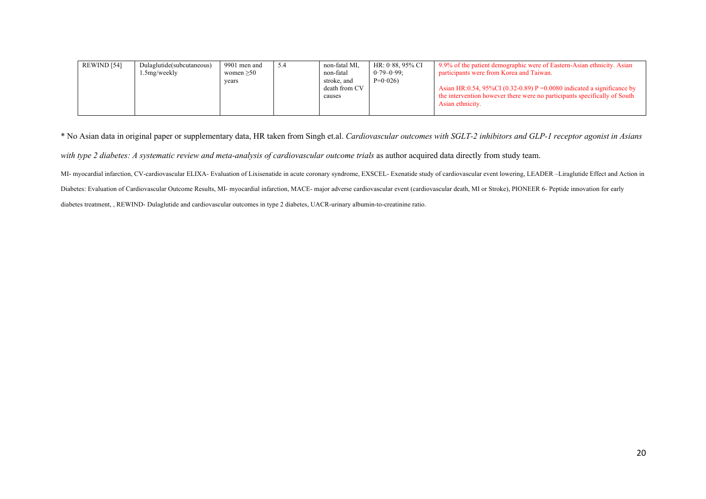| REWIND [54] | Dulaglutide(subcutaneous)<br>1.5mg/weekly | 9901 men and<br>women $>50$<br>years | 5.4 | non-fatal MI.<br>non-fatal<br>stroke, and<br>death from CV | HR: 0.88, 95% CI<br>$0.79 - 0.99$ :<br>$P=0.026$ | 9.9% of the patient demographic were of Eastern-Asian ethnicity. Asian<br>participants were from Korea and Taiwan.<br>Asian HR:0.54, 95%CI (0.32-0.89) P = 0.0080 indicated a significance by |
|-------------|-------------------------------------------|--------------------------------------|-----|------------------------------------------------------------|--------------------------------------------------|-----------------------------------------------------------------------------------------------------------------------------------------------------------------------------------------------|
|             |                                           |                                      |     | causes                                                     |                                                  | the intervention however there were no participants specifically of South<br>Asian ethnicity.                                                                                                 |

\* No Asian data in original paper or supplementary data, HR taken from Singh et.al. *Cardiovascular outcomes with SGLT-2 inhibitors and GLP-1 receptor agonist in Asians* 

with type 2 diabetes: A systematic review and meta-analysis of cardiovascular outcome trials as author acquired data directly from study team.

MI- myocardial infarction, CV-cardiovascular ELIXA- Evaluation of Lixisenatide in acute coronary syndrome, EXSCEL- Exenatide study of cardiovascular event lowering, LEADER -Liraglutide Effect and Action in

Diabetes: Evaluation of Cardiovascular Outcome Results, MI- myocardial infarction, MACE- major adverse cardiovascular event (cardiovascular death, MI or Stroke), PIONEER 6- Peptide innovation for early

diabetes treatment, , REWIND- Dulaglutide and cardiovascular outcomes in type 2 diabetes, UACR-urinary albumin-to-creatinine ratio.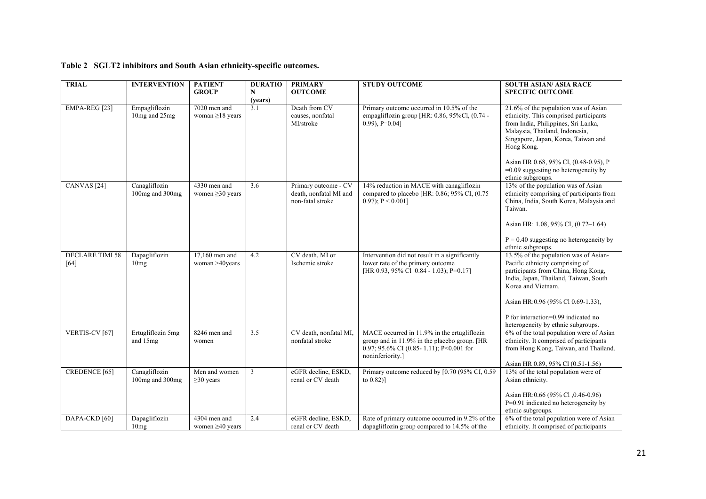# **Table 2 SGLT2 inhibitors and South Asian ethnicity-specific outcomes.**

| <b>TRIAL</b>                   | <b>INTERVENTION</b>              | <b>PATIENT</b><br><b>GROUP</b>        | <b>DURATIO</b><br>N<br>(years) | <b>PRIMARY</b><br><b>OUTCOME</b>                                   | <b>STUDY OUTCOME</b>                                                                                                                                       | <b>SOUTH ASIAN/ ASIA RACE</b><br><b>SPECIFIC OUTCOME</b>                                                                                                                                                                                                                                                             |
|--------------------------------|----------------------------------|---------------------------------------|--------------------------------|--------------------------------------------------------------------|------------------------------------------------------------------------------------------------------------------------------------------------------------|----------------------------------------------------------------------------------------------------------------------------------------------------------------------------------------------------------------------------------------------------------------------------------------------------------------------|
| EMPA-REG [23]                  | Empagliflozin<br>10mg and 25mg   | 7020 men and<br>woman $\geq$ 18 years | $\overline{3.1}$               | Death from CV<br>causes, nonfatal<br>MI/stroke                     | Primary outcome occurred in 10.5% of the<br>empagliflozin group [HR: 0.86, 95%Cl, (0.74 -<br>$(0.99)$ , P=0.04]                                            | 21.6% of the population was of Asian<br>ethnicity. This comprised participants<br>from India, Philippines, Sri Lanka,<br>Malaysia, Thailand, Indonesia,<br>Singapore, Japan, Korea, Taiwan and<br>Hong Kong.<br>Asian HR 0.68, 95% Cl, (0.48-0.95), P<br>$=0.09$ suggesting no heterogeneity by<br>ethnic subgroups. |
| CANVAS <sup>[24]</sup>         | Canagliflozin<br>100mg and 300mg | 4330 men and<br>women $\geq$ 30 years | 3.6                            | Primary outcome - CV<br>death, nonfatal MI and<br>non-fatal stroke | 14% reduction in MACE with canagliflozin<br>compared to placebo [HR: 0.86; 95% CI, (0.75-<br>$(0.97)$ ; P < 0.001]                                         | 13% of the population was of Asian<br>ethnicity comprising of participants from<br>China, India, South Korea, Malaysia and<br>Taiwan.<br>Asian HR: 1.08, 95% CI, (0.72–1.64)<br>$P = 0.40$ suggesting no heterogeneity by<br>ethnic subgroups.                                                                       |
| <b>DECLARE TIMI 58</b><br>[64] | Dapagliflozin<br>10mg            | $17.160$ men and<br>woman >40years    | 4.2                            | CV death, MI or<br>Ischemic stroke                                 | Intervention did not result in a significantly<br>lower rate of the primary outcome<br>[HR 0.93, 95% Cl 0.84 - 1.03); P=0.17]                              | 13.5% of the population was of Asian-<br>Pacific ethnicity comprising of<br>participants from China, Hong Kong,<br>India, Japan, Thailand, Taiwan, South<br>Korea and Vietnam.<br>Asian HR:0.96 (95% Cl 0.69-1.33),<br>P for interaction=0.99 indicated no<br>heterogeneity by ethnic subgroups.                     |
| VERTIS-CV [67]                 | Ertugliflozin 5mg<br>and 15mg    | 8246 men and<br>women                 | 3.5                            | CV death, nonfatal MI,<br>nonfatal stroke                          | MACE occurred in 11.9% in the ertugliflozin<br>group and in 11.9% in the placebo group. [HR<br>0.97; 95.6% CI (0.85-1.11); P<0.001 for<br>noninferiority.] | 6% of the total population were of Asian<br>ethnicity. It comprised of participants<br>from Hong Kong, Taiwan, and Thailand.<br>Asian HR 0.89, 95% Cl (0.51-1.56)                                                                                                                                                    |
| <b>CREDENCE</b> [65]           | Canagliflozin<br>100mg and 300mg | Men and women<br>$\geq$ 30 years      | 3                              | eGFR decline, ESKD.<br>renal or CV death                           | Primary outcome reduced by [0.70 (95% CI, 0.59<br>to $0.82$ )]                                                                                             | 13% of the total population were of<br>Asian ethnicity.<br>Asian HR:0.66 (95% Cl, 0.46-0.96)<br>$P=0.91$ indicated no heterogeneity by<br>ethnic subgroups.                                                                                                                                                          |
| DAPA-CKD [60]                  | Dapagliflozin<br>10mg            | 4304 men and<br>women $\geq 40$ years | 2.4                            | eGFR decline, ESKD,<br>renal or CV death                           | Rate of primary outcome occurred in 9.2% of the<br>dapagliflozin group compared to 14.5% of the                                                            | 6% of the total population were of Asian<br>ethnicity. It comprised of participants                                                                                                                                                                                                                                  |